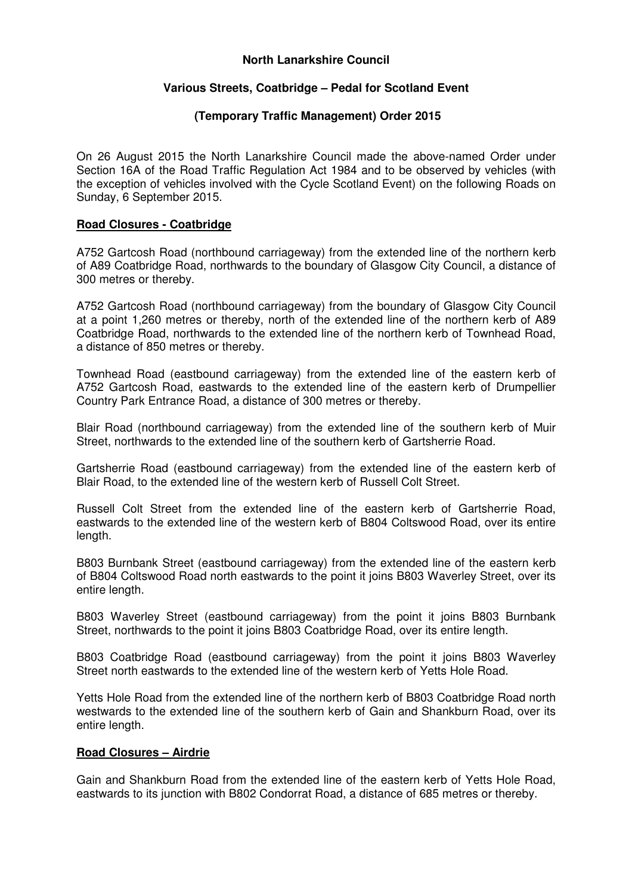## **North Lanarkshire Council**

# **Various Streets, Coatbridge – Pedal for Scotland Event**

## **(Temporary Traffic Management) Order 2015**

On 26 August 2015 the North Lanarkshire Council made the above-named Order under Section 16A of the Road Traffic Regulation Act 1984 and to be observed by vehicles (with the exception of vehicles involved with the Cycle Scotland Event) on the following Roads on Sunday, 6 September 2015.

#### **Road Closures - Coatbridge**

A752 Gartcosh Road (northbound carriageway) from the extended line of the northern kerb of A89 Coatbridge Road, northwards to the boundary of Glasgow City Council, a distance of 300 metres or thereby.

A752 Gartcosh Road (northbound carriageway) from the boundary of Glasgow City Council at a point 1,260 metres or thereby, north of the extended line of the northern kerb of A89 Coatbridge Road, northwards to the extended line of the northern kerb of Townhead Road, a distance of 850 metres or thereby.

Townhead Road (eastbound carriageway) from the extended line of the eastern kerb of A752 Gartcosh Road, eastwards to the extended line of the eastern kerb of Drumpellier Country Park Entrance Road, a distance of 300 metres or thereby.

Blair Road (northbound carriageway) from the extended line of the southern kerb of Muir Street, northwards to the extended line of the southern kerb of Gartsherrie Road.

Gartsherrie Road (eastbound carriageway) from the extended line of the eastern kerb of Blair Road, to the extended line of the western kerb of Russell Colt Street.

Russell Colt Street from the extended line of the eastern kerb of Gartsherrie Road, eastwards to the extended line of the western kerb of B804 Coltswood Road, over its entire length.

B803 Burnbank Street (eastbound carriageway) from the extended line of the eastern kerb of B804 Coltswood Road north eastwards to the point it joins B803 Waverley Street, over its entire length.

B803 Waverley Street (eastbound carriageway) from the point it joins B803 Burnbank Street, northwards to the point it joins B803 Coatbridge Road, over its entire length.

B803 Coatbridge Road (eastbound carriageway) from the point it joins B803 Waverley Street north eastwards to the extended line of the western kerb of Yetts Hole Road.

Yetts Hole Road from the extended line of the northern kerb of B803 Coatbridge Road north westwards to the extended line of the southern kerb of Gain and Shankburn Road, over its entire length.

# **Road Closures – Airdrie**

Gain and Shankburn Road from the extended line of the eastern kerb of Yetts Hole Road, eastwards to its junction with B802 Condorrat Road, a distance of 685 metres or thereby.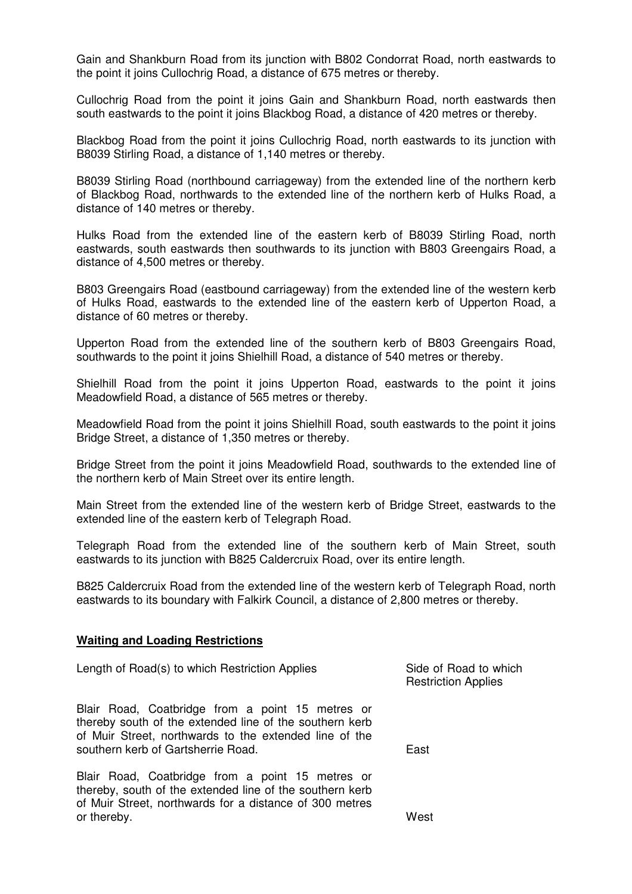Gain and Shankburn Road from its junction with B802 Condorrat Road, north eastwards to the point it joins Cullochrig Road, a distance of 675 metres or thereby.

Cullochrig Road from the point it joins Gain and Shankburn Road, north eastwards then south eastwards to the point it joins Blackbog Road, a distance of 420 metres or thereby.

Blackbog Road from the point it joins Cullochrig Road, north eastwards to its junction with B8039 Stirling Road, a distance of 1,140 metres or thereby.

B8039 Stirling Road (northbound carriageway) from the extended line of the northern kerb of Blackbog Road, northwards to the extended line of the northern kerb of Hulks Road, a distance of 140 metres or thereby.

Hulks Road from the extended line of the eastern kerb of B8039 Stirling Road, north eastwards, south eastwards then southwards to its junction with B803 Greengairs Road, a distance of 4,500 metres or thereby.

B803 Greengairs Road (eastbound carriageway) from the extended line of the western kerb of Hulks Road, eastwards to the extended line of the eastern kerb of Upperton Road, a distance of 60 metres or thereby.

Upperton Road from the extended line of the southern kerb of B803 Greengairs Road, southwards to the point it joins Shielhill Road, a distance of 540 metres or thereby.

Shielhill Road from the point it joins Upperton Road, eastwards to the point it joins Meadowfield Road, a distance of 565 metres or thereby.

Meadowfield Road from the point it joins Shielhill Road, south eastwards to the point it joins Bridge Street, a distance of 1,350 metres or thereby.

Bridge Street from the point it joins Meadowfield Road, southwards to the extended line of the northern kerb of Main Street over its entire length.

Main Street from the extended line of the western kerb of Bridge Street, eastwards to the extended line of the eastern kerb of Telegraph Road.

Telegraph Road from the extended line of the southern kerb of Main Street, south eastwards to its junction with B825 Caldercruix Road, over its entire length.

B825 Caldercruix Road from the extended line of the western kerb of Telegraph Road, north eastwards to its boundary with Falkirk Council, a distance of 2,800 metres or thereby.

#### **Waiting and Loading Restrictions**

or thereby.

| Length of Road(s) to which Restriction Applies                                                                                                                                                              | Side of Road to which<br><b>Restriction Applies</b> |
|-------------------------------------------------------------------------------------------------------------------------------------------------------------------------------------------------------------|-----------------------------------------------------|
| Blair Road, Coatbridge from a point 15 metres or<br>thereby south of the extended line of the southern kerb<br>of Muir Street, northwards to the extended line of the<br>southern kerb of Gartsherrie Road. | East                                                |
| Blair Road, Coatbridge from a point 15 metres or<br>thereby, south of the extended line of the southern kerb<br>of Muir Street, northwards for a distance of 300 metres                                     |                                                     |

**West**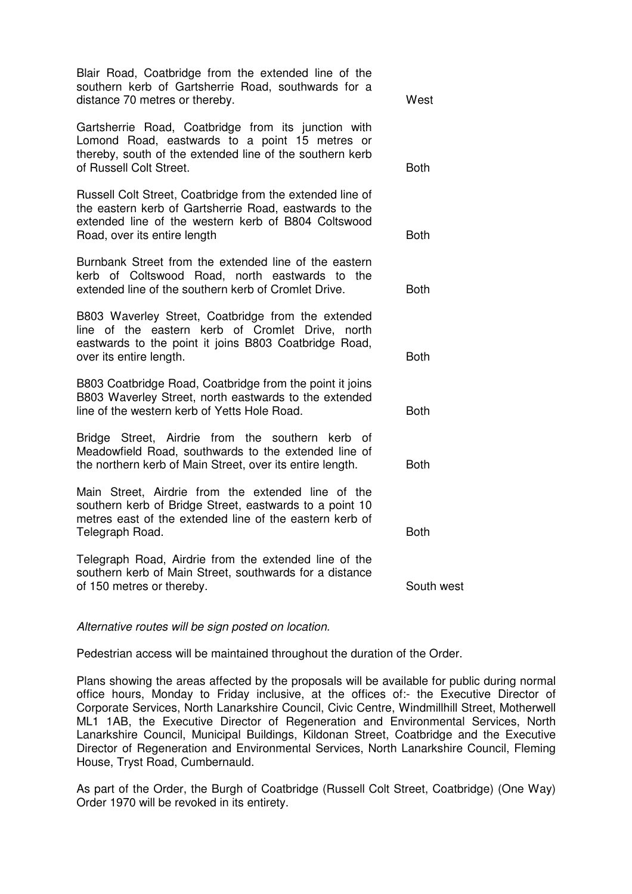| Blair Road, Coatbridge from the extended line of the<br>southern kerb of Gartsherrie Road, southwards for a<br>distance 70 metres or thereby.                                                              | West        |
|------------------------------------------------------------------------------------------------------------------------------------------------------------------------------------------------------------|-------------|
| Gartsherrie Road, Coatbridge from its junction with<br>Lomond Road, eastwards to a point 15 metres or<br>thereby, south of the extended line of the southern kerb<br>of Russell Colt Street.               | <b>Both</b> |
| Russell Colt Street, Coatbridge from the extended line of<br>the eastern kerb of Gartsherrie Road, eastwards to the<br>extended line of the western kerb of B804 Coltswood<br>Road, over its entire length | <b>Both</b> |
| Burnbank Street from the extended line of the eastern<br>kerb of Coltswood Road, north eastwards to the<br>extended line of the southern kerb of Cromlet Drive.                                            | <b>Both</b> |
| B803 Waverley Street, Coatbridge from the extended<br>line of the eastern kerb of Cromlet Drive, north<br>eastwards to the point it joins B803 Coatbridge Road,<br>over its entire length.                 | <b>Both</b> |
| B803 Coatbridge Road, Coatbridge from the point it joins<br>B803 Waverley Street, north eastwards to the extended<br>line of the western kerb of Yetts Hole Road.                                          | <b>Both</b> |
| Bridge Street, Airdrie from the southern kerb<br>οf<br>Meadowfield Road, southwards to the extended line of<br>the northern kerb of Main Street, over its entire length.                                   | <b>Both</b> |
| Main Street, Airdrie from the extended line of the<br>southern kerb of Bridge Street, eastwards to a point 10<br>metres east of the extended line of the eastern kerb of<br>Telegraph Road.                | <b>Both</b> |
| Telegraph Road, Airdrie from the extended line of the<br>southern kerb of Main Street, southwards for a distance<br>of 150 metres or thereby.                                                              | South west  |

Alternative routes will be sign posted on location.

Pedestrian access will be maintained throughout the duration of the Order.

Plans showing the areas affected by the proposals will be available for public during normal office hours, Monday to Friday inclusive, at the offices of:- the Executive Director of Corporate Services, North Lanarkshire Council, Civic Centre, Windmillhill Street, Motherwell ML1 1AB, the Executive Director of Regeneration and Environmental Services, North Lanarkshire Council, Municipal Buildings, Kildonan Street, Coatbridge and the Executive Director of Regeneration and Environmental Services, North Lanarkshire Council, Fleming House, Tryst Road, Cumbernauld.

As part of the Order, the Burgh of Coatbridge (Russell Colt Street, Coatbridge) (One Way) Order 1970 will be revoked in its entirety.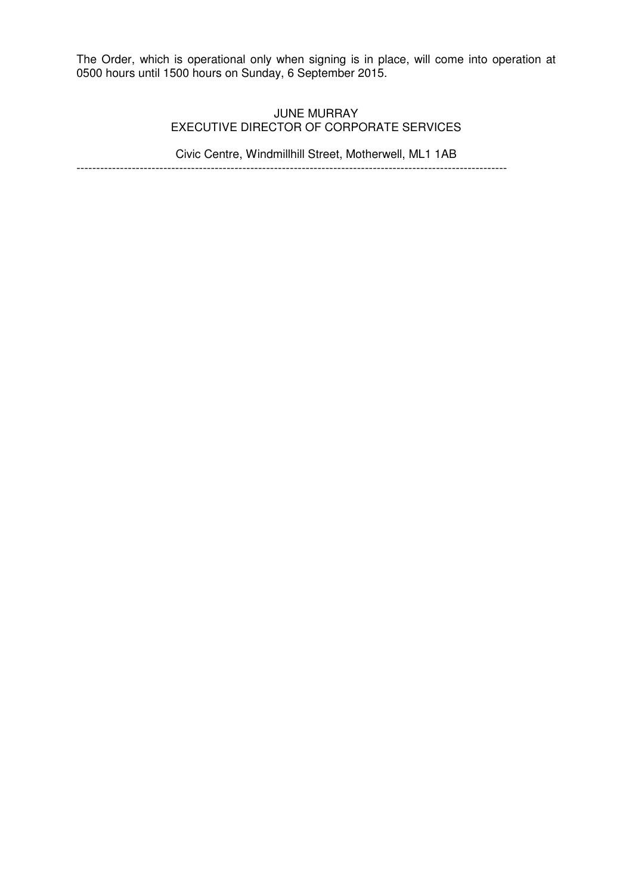The Order, which is operational only when signing is in place, will come into operation at 0500 hours until 1500 hours on Sunday, 6 September 2015.

# JUNE MURRAY EXECUTIVE DIRECTOR OF CORPORATE SERVICES

Civic Centre, Windmillhill Street, Motherwell, ML1 1AB

-------------------------------------------------------------------------------------------------------------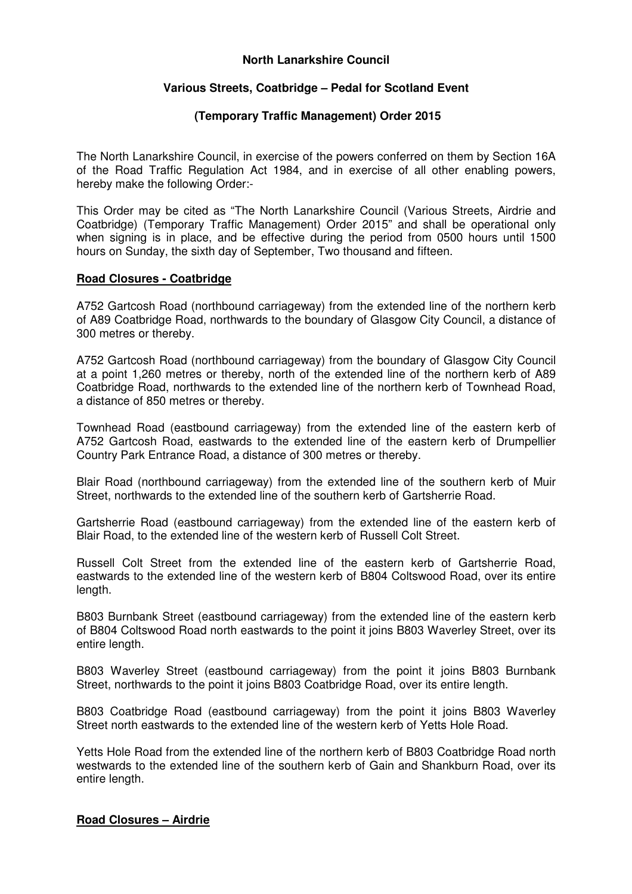## **North Lanarkshire Council**

# **Various Streets, Coatbridge – Pedal for Scotland Event**

## **(Temporary Traffic Management) Order 2015**

The North Lanarkshire Council, in exercise of the powers conferred on them by Section 16A of the Road Traffic Regulation Act 1984, and in exercise of all other enabling powers, hereby make the following Order:-

This Order may be cited as "The North Lanarkshire Council (Various Streets, Airdrie and Coatbridge) (Temporary Traffic Management) Order 2015" and shall be operational only when signing is in place, and be effective during the period from 0500 hours until 1500 hours on Sunday, the sixth day of September, Two thousand and fifteen.

# **Road Closures - Coatbridge**

A752 Gartcosh Road (northbound carriageway) from the extended line of the northern kerb of A89 Coatbridge Road, northwards to the boundary of Glasgow City Council, a distance of 300 metres or thereby.

A752 Gartcosh Road (northbound carriageway) from the boundary of Glasgow City Council at a point 1,260 metres or thereby, north of the extended line of the northern kerb of A89 Coatbridge Road, northwards to the extended line of the northern kerb of Townhead Road, a distance of 850 metres or thereby.

Townhead Road (eastbound carriageway) from the extended line of the eastern kerb of A752 Gartcosh Road, eastwards to the extended line of the eastern kerb of Drumpellier Country Park Entrance Road, a distance of 300 metres or thereby.

Blair Road (northbound carriageway) from the extended line of the southern kerb of Muir Street, northwards to the extended line of the southern kerb of Gartsherrie Road.

Gartsherrie Road (eastbound carriageway) from the extended line of the eastern kerb of Blair Road, to the extended line of the western kerb of Russell Colt Street.

Russell Colt Street from the extended line of the eastern kerb of Gartsherrie Road, eastwards to the extended line of the western kerb of B804 Coltswood Road, over its entire length.

B803 Burnbank Street (eastbound carriageway) from the extended line of the eastern kerb of B804 Coltswood Road north eastwards to the point it joins B803 Waverley Street, over its entire length.

B803 Waverley Street (eastbound carriageway) from the point it joins B803 Burnbank Street, northwards to the point it joins B803 Coatbridge Road, over its entire length.

B803 Coatbridge Road (eastbound carriageway) from the point it joins B803 Waverley Street north eastwards to the extended line of the western kerb of Yetts Hole Road.

Yetts Hole Road from the extended line of the northern kerb of B803 Coatbridge Road north westwards to the extended line of the southern kerb of Gain and Shankburn Road, over its entire length.

# **Road Closures – Airdrie**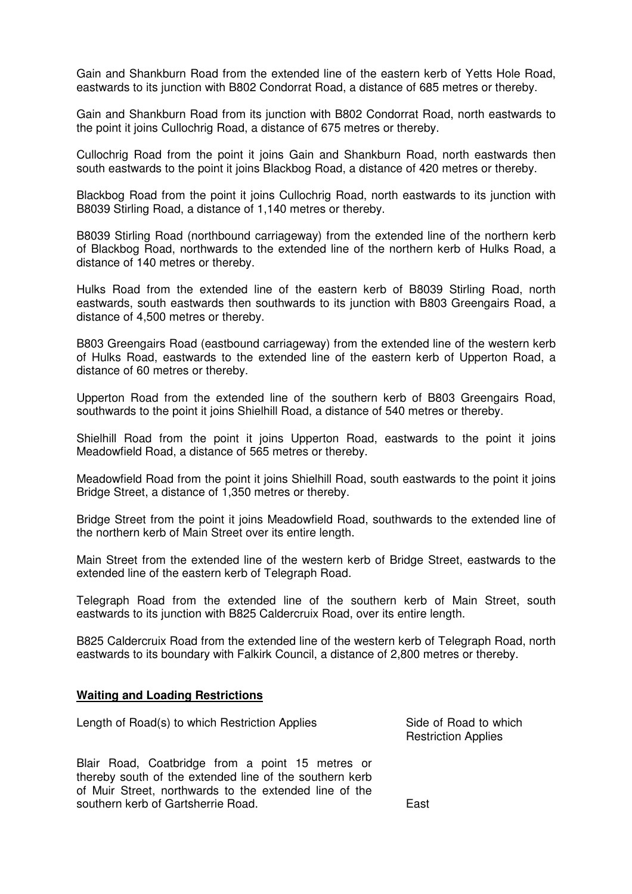Gain and Shankburn Road from the extended line of the eastern kerb of Yetts Hole Road, eastwards to its junction with B802 Condorrat Road, a distance of 685 metres or thereby.

Gain and Shankburn Road from its junction with B802 Condorrat Road, north eastwards to the point it joins Cullochrig Road, a distance of 675 metres or thereby.

Cullochrig Road from the point it joins Gain and Shankburn Road, north eastwards then south eastwards to the point it joins Blackbog Road, a distance of 420 metres or thereby.

Blackbog Road from the point it joins Cullochrig Road, north eastwards to its junction with B8039 Stirling Road, a distance of 1,140 metres or thereby.

B8039 Stirling Road (northbound carriageway) from the extended line of the northern kerb of Blackbog Road, northwards to the extended line of the northern kerb of Hulks Road, a distance of 140 metres or thereby.

Hulks Road from the extended line of the eastern kerb of B8039 Stirling Road, north eastwards, south eastwards then southwards to its junction with B803 Greengairs Road, a distance of 4,500 metres or thereby.

B803 Greengairs Road (eastbound carriageway) from the extended line of the western kerb of Hulks Road, eastwards to the extended line of the eastern kerb of Upperton Road, a distance of 60 metres or thereby.

Upperton Road from the extended line of the southern kerb of B803 Greengairs Road, southwards to the point it joins Shielhill Road, a distance of 540 metres or thereby.

Shielhill Road from the point it joins Upperton Road, eastwards to the point it joins Meadowfield Road, a distance of 565 metres or thereby.

Meadowfield Road from the point it joins Shielhill Road, south eastwards to the point it joins Bridge Street, a distance of 1,350 metres or thereby.

Bridge Street from the point it joins Meadowfield Road, southwards to the extended line of the northern kerb of Main Street over its entire length.

Main Street from the extended line of the western kerb of Bridge Street, eastwards to the extended line of the eastern kerb of Telegraph Road.

Telegraph Road from the extended line of the southern kerb of Main Street, south eastwards to its junction with B825 Caldercruix Road, over its entire length.

B825 Caldercruix Road from the extended line of the western kerb of Telegraph Road, north eastwards to its boundary with Falkirk Council, a distance of 2,800 metres or thereby.

#### **Waiting and Loading Restrictions**

Length of Road(s) to which Restriction Applies Side of Road to which

Blair Road, Coatbridge from a point 15 metres or thereby south of the extended line of the southern kerb of Muir Street, northwards to the extended line of the southern kerb of Gartsherrie Road.

Restriction Applies

East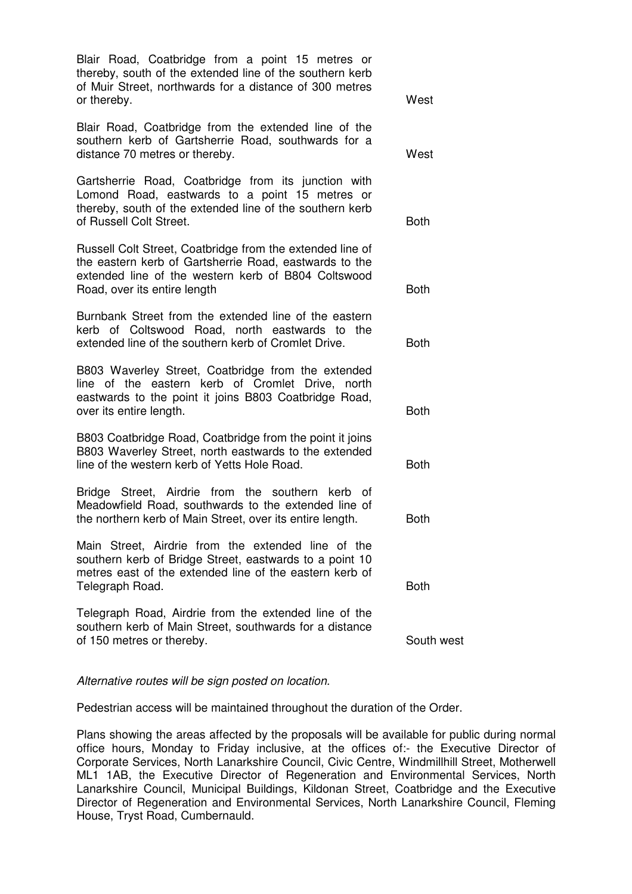Blair Road, Coatbridge from a point 15 metres or thereby, south of the extended line of the southern kerb of Muir Street, northwards for a distance of 300 metres or thereby. Blair Road, Coatbridge from the extended line of the southern kerb of Gartsherrie Road, southwards for a distance 70 metres or thereby. **West** West Gartsherrie Road, Coatbridge from its junction with Lomond Road, eastwards to a point 15 metres or thereby, south of the extended line of the southern kerb of Russell Colt Street. Both Russell Colt Street, Coatbridge from the extended line of the eastern kerb of Gartsherrie Road, eastwards to the extended line of the western kerb of B804 Coltswood Road, over its entire length Both Burnbank Street from the extended line of the eastern kerb of Coltswood Road, north eastwards to the extended line of the southern kerb of Cromlet Drive. **Both** B803 Waverley Street, Coatbridge from the extended line of the eastern kerb of Cromlet Drive, north eastwards to the point it joins B803 Coatbridge Road, over its entire length. Both B803 Coatbridge Road, Coatbridge from the point it joins B803 Waverley Street, north eastwards to the extended line of the western kerb of Yetts Hole Road. Both Bridge Street, Airdrie from the southern kerb of Meadowfield Road, southwards to the extended line of the northern kerb of Main Street, over its entire length. Both Main Street, Airdrie from the extended line of the southern kerb of Bridge Street, eastwards to a point 10 metres east of the extended line of the eastern kerb of Telegraph Road. Both Telegraph Road, Airdrie from the extended line of the southern kerb of Main Street, southwards for a distance of 150 metres or thereby. South west

Alternative routes will be sign posted on location.

Pedestrian access will be maintained throughout the duration of the Order.

Plans showing the areas affected by the proposals will be available for public during normal office hours, Monday to Friday inclusive, at the offices of:- the Executive Director of Corporate Services, North Lanarkshire Council, Civic Centre, Windmillhill Street, Motherwell ML1 1AB, the Executive Director of Regeneration and Environmental Services, North Lanarkshire Council, Municipal Buildings, Kildonan Street, Coatbridge and the Executive Director of Regeneration and Environmental Services, North Lanarkshire Council, Fleming House, Tryst Road, Cumbernauld.